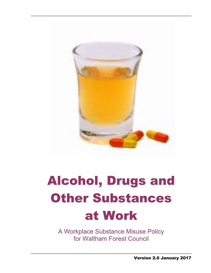

# **Alcohol, Drugs and Other Substances** at Work

A Workplace Substance Misuse Policy for Waltham Forest Council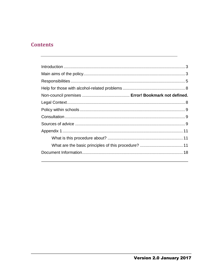# **Contents**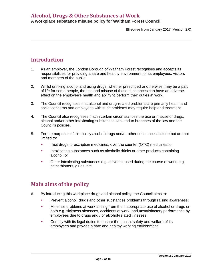**Effective from** January 2017 (Version 2.0)

# <span id="page-2-0"></span>**Introduction**

- 1. As an employer, the London Borough of Waltham Forest recognises and accepts its responsibilities for providing a safe and healthy environment for its employees, visitors and members of the public.
- 2. Whilst drinking alcohol and using drugs, whether prescribed or otherwise, may be a part of life for some people, the use and misuse of these substances can have an adverse effect on the employee's health and ability to perform their duties at work.
- 3. The Council recognises that alcohol and drug-related problems are primarily health and social concerns and employees with such problems may require help and treatment.
- 4. The Council also recognises that in certain circumstances the use or misuse of drugs, alcohol and/or other intoxicating substances can lead to breaches of the law and the Council's policies.
- 5. For the purposes of this policy alcohol drugs and/or other substances include but are not limited to:
	- Illicit drugs, prescription medicines, over the counter (OTC) medicines; or
	- Intoxicating substances such as alcoholic drinks or other products containing alcohol; or
	- Other intoxicating substances e.g. solvents, used during the course of work, e.g. paint thinners, glues, etc.

# <span id="page-2-1"></span>**Main aims of the policy**

- 6. By introducing this workplace drugs and alcohol policy, the Council aims to:
	- Prevent alcohol, drugs and other substances problems through raising awareness;
	- Minimise problems at work arising from the inappropriate use of alcohol or drugs or both e.g. sickness absences, accidents at work, and unsatisfactory performance by employees due to drugs and / or alcohol-related illnesses.
	- Comply with its legal duties to ensure the health, safety and welfare of its employees and provide a safe and healthy working environment.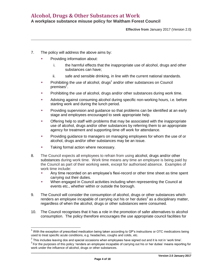**Effective from** January 2017 (Version 2.0)

- 7. The policy will address the above aims by:
	- Providing information about:
		- i. the harmful effects that the inappropriate use of alcohol, drugs and other substances can have;
		- ii. safe and sensible drinking, in line with the current national standards.
	- $\bullet$  Prohibiting the use of alcohol, drugs<sup>1</sup> and/or other substances on Council premises<sup>2</sup>.
	- Prohibiting the use of alcohol, drugs and/or other substances during work time.
	- Advising against consuming alcohol during specific non-working hours, i.e. before starting work and during the lunch period.
	- Providing supervision and guidance so that problems can be identified at an early stage and employees encouraged to seek appropriate help.
	- Offering help to staff with problems that may be associated with the inappropriate use of alcohol, drugs and/or other substances by referring them to an appropriate agency for treatment and supporting time off work for attendance.
	- **Providing guidance to managers on managing employees for whom the use of or** alcohol, drugs and/or other substances may be an issue.
	- **Taking formal action where necessary.**

l

- 8. The Council expects all employees to refrain from using alcohol, drugs and/or other substances during work time. Work time means any time an employee is being paid by the Council as part of their working week, except for authorised absence. Examples of work time include:
	- Any time recorded on an employee's flexi-record or other time sheet as time spent carrying out their duties.
	- When engaged in Council activities including when representing the Council at events etc., whether within or outside the borough.
- 9. The Council will consider the consumption of alcohol, drugs or other substances which renders an employee incapable of carrying out his or her duties<sup>3</sup> as a disciplinary matter, regardless of when the alcohol, drugs or other substances were consumed.
- 10. The Council recognises that it has a role in the promotion of safer alternatives to alcohol consumption. The policy therefore encourages the use appropriate council facilities for

 $1$  With the exception of prescribed medication being taken according to GP's instructions or OTC medications being used to treat specific acute conditions, e.g. headaches, coughs and colds, etc.

 $^2$  This includes leaving dos and special occasions when employees have signed out and it is not in 'work time'.

<sup>&</sup>lt;sup>3</sup> For the purposes of this policy 'renders an employee incapable of carrying out his or her duties' means reporting for work under the influence of alcohol, drugs or other substances.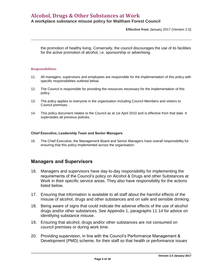### **Alcohol, Drugs & Other Substances at Work**

#### **A workplace substance misuse policy for Waltham Forest Council**

**Effective from** January 2017 (Version 2.0)

the promotion of healthy living. Conversely, the council discourages the use of its facilities for the active promotion of alcohol, i.e. sponsorship or advertising.

#### <span id="page-4-0"></span>**Responsibilities**

- 11. All managers, supervisors and employees are responsible for the implementation of this policy with specific responsibilities outlined below.
- 12. The Council is responsible for providing the resources necessary for the implementation of this policy.
- 13. The policy applies to everyone in the organisation including Council Members and visitors to Council premises.
- 14. This policy document relates to the Council as at 1st April 2010 and is effective from that date. It supersedes all previous policies.

#### **Chief Executive, Leadership Team and Senior Managers**

15. The Chief Executive, the Management Board and Senior Managers have overall responsibility for ensuring that this policy implemented across the organisation.

#### **Managers and Supervisors**

- 16. Managers and supervisors have day-to-day responsibility for implementing the requirements of the Council's policy on Alcohol & Drugs and other Substances at Work in their specific service areas. They also have responsibility for the actions listed below.
- 17. Ensuring that information is available to all staff about the harmful effects of the misuse of alcohol, drugs and other substances and on safe and sensible drinking.
- 18. Being aware of signs that could indicate the adverse effects of the use of alcohol drugs and/or other substances. See Appendix 1, paragraphs 11-14 for advice on identifying substance misuse.
- 19. Ensuring that alcohol, drugs and/or other substances are not consumed on council premises or during work time.
- 20. Providing supervision, in line with the Council's Performance Management & Development (PMD) scheme, for their staff so that health or performance issues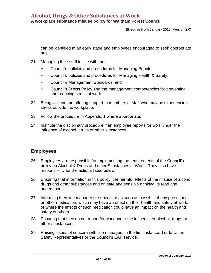**Effective from** January 2017 (Version 2.0)

can be identified at an early stage and employees encouraged to seek appropriate help.

- 21. Managing their staff in line with the:
	- Council's policies and procedures for Managing People;
	- Council's policies and procedures for Managing Health & Safety;
	- Council's Management Standards; and
	- Council's Stress Policy and the management competencies for preventing and reducing stress at work.
- 22. Being vigilant and offering support to members of staff who may be experiencing stress outside the workplace.
- 23. Follow the procedure in Appendix 1 where appropriate.
- 24. Institute the disciplinary procedure if an employee reports for work under the influence of alcohol, drugs or other substances.

#### **Employees**

- 25. Employees are responsible for implementing the requirements of the Council's policy on Alcohol & Drugs and other Substances at Work. They also have responsibility for the actions listed below.
- 26. Ensuring that information in this policy, the harmful effects of the misuse of alcohol drugs and other substances and on safe and sensible drinking, is read and understood.
- 27. Informing their line manager or supervisor as soon as possible of any prescribed or other medication, which may have an effect on their health and safety at work; or where the effects of such medication could have an impact on the health and safety of others.
- 28. Ensuring that they do not report for work under the influence of alcohol, drugs or other substances.
- 29. Raising issues of concern with line managers in the first instance, Trade Union Safety Representatives or the Council's EAP service.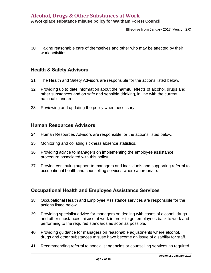**Effective from** January 2017 (Version 2.0)

30. Taking reasonable care of themselves and other who may be affected by their work activities.

#### **Health & Safety Advisors**

- 31. The Health and Safety Advisors are responsible for the actions listed below.
- 32. Providing up to date information about the harmful effects of alcohol, drugs and other substances and on safe and sensible drinking, in line with the current national standards.
- 33. Reviewing and updating the policy when necessary.

#### **Human Resources Advisors**

- 34. Human Resources Advisors are responsible for the actions listed below.
- 35. Monitoring and collating sickness absence statistics.
- 36. Providing advice to managers on implementing the employee assistance procedure associated with this policy.
- 37. Provide continuing support to managers and individuals and supporting referral to occupational health and counselling services where appropriate.

#### **Occupational Health and Employee Assistance Services**

- 38. Occupational Health and Employee Assistance services are responsible for the actions listed below.
- 39. Providing specialist advice for managers on dealing with cases of alcohol, drugs and other substances misuse at work in order to get employees back to work and performing to the required standards as soon as possible.
- 40. Providing guidance for managers on reasonable adjustments where alcohol, drugs and other substances misuse have become an issue of disability for staff.
- 41. Recommending referral to specialist agencies or counselling services as required.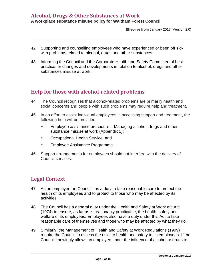**Effective from** January 2017 (Version 2.0)

- 42. Supporting and counselling employees who have experienced or been off sick with problems related to alcohol, drugs and other substances.
- 43. Informing the Council and the Corporate Health and Safety Committee of best practice, or changes and developments in relation to alcohol, drugs and other substances misuse at work.

# <span id="page-7-0"></span>**Help for those with alcohol-related problems**

- 44. The Council recognises that alcohol-related problems are primarily health and social concerns and people with such problems may require help and treatment.
- 45. In an effort to assist individual employees in accessing support and treatment, the following help will be provided:
	- Employee assistance procedure Managing alcohol, drugs and other substance misuse at work (Appendix 1);
	- Occupational Health Service; and
	- Employee Assistance Programme
- 46. Support arrangements for employees should not interfere with the delivery of Council services.

# <span id="page-7-1"></span>**Legal Context**

- 47. As an employer the Council has a duty to take reasonable care to protect the health of its employees and to protect to those who may be affected by its activities.
- 48. The Council has a general duty under the Health and Safety at Work etc Act (1974) to ensure, as far as is reasonably practicable, the health, safety and welfare of its employees. Employees also have a duty under this Act to take reasonable care of themselves and those who may be affected by what they do.
- 49. Similarly, the Management of Health and Safety at Work Regulations (1999) require the Council to assess the risks to health and safety to its employees. If the Council knowingly allows an employee under the influence of alcohol or drugs to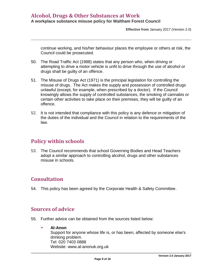**Effective from** January 2017 (Version 2.0)

continue working, and his/her behaviour places the employee or others at risk, the Council could be prosecuted.

- 50. The Road Traffic Act (1988) states that any person who, when driving or attempting to drive a motor vehicle is unfit to drive through the use of alcohol or drugs shall be guilty of an offence.
- 51. The Misuse of Drugs Act (1971) is the principal legislation for controlling the misuse of drugs. The Act makes the supply and possession of controlled drugs unlawful (except, for example, when prescribed by a doctor). If the Council knowingly allows the supply of controlled substances, the smoking of cannabis or certain other activities to take place on their premises, they will be guilty of an offence.
- 52. It is not intended that compliance with this policy is any defence or mitigation of the duties of the individual and the Council in relation to the requirements of the law.

# <span id="page-8-0"></span>**Policy within schools**

53. The Council recommends that school Governing Bodies and Head Teachers adopt a similar approach to controlling alcohol, drugs and other substances misuse in schools.

# <span id="page-8-1"></span>**Consultation**

<span id="page-8-2"></span>54. This policy has been agreed by the Corporate Health & Safety Committee.

#### **Sources of advice**

- 55. Further advice can be obtained from the sources listed below:
	- **Al-Anon**  Support for anyone whose life is, or has been, affected by someone else's drinking problem. Tel: 020 7403 0888 Website: [www.al-anonuk.org.uk](http://www.bbc.co.uk/go/health/conditions/mental_health/drugs_use.shtml/ext/_auto/-/http:/www.al-anonuk.org.uk/)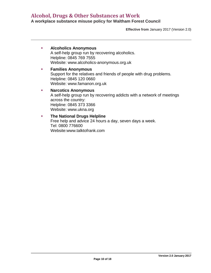**Effective from** January 2017 (Version 2.0)

| <b>Alcoholics Anonymous</b><br>A self-help group run by recovering alcoholics.<br>Helpline: 0845 769 7555<br>Website: www.alcoholics-anonymous.org.uk                           |  |
|---------------------------------------------------------------------------------------------------------------------------------------------------------------------------------|--|
| <b>Families Anonymous</b><br>Support for the relatives and friends of people with drug problems.<br>Helpline: 0845 120 0660<br>Website: www.famanon.org.uk                      |  |
| <b>Narcotics Anonymous</b><br>A self-help group run by recovering addicts with a network of meetings<br>across the country:<br>Helpline: 0845 373 3366<br>Website: www.ukna.org |  |
| <b>The National Drugs Helpline</b><br>Free help and advice 24 hours a day, seven days a week                                                                                    |  |

Free help and advice 24 hours a day, seven days a week. Tel: 0800 776600 Website[:www.talktofrank.com](http://www.bbc.co.uk/go/health/conditions/mental_health/drugs_use.shtml/ext/_auto/-/http:/www.talktofrank.com/)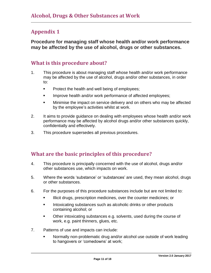# <span id="page-10-0"></span>**Appendix 1**

**Procedure for managing staff whose health and/or work performance may be affected by the use of alcohol, drugs or other substances.**

# <span id="page-10-1"></span>**What is this procedure about?**

- 1. This procedure is about managing staff whose health and/or work performance may be affected by the use of alcohol, drugs and/or other substances, in order to:
	- **Protect the health and well being of employees;**
	- Improve health and/or work performance of affected employees;
	- **Minimise the impact on service delivery and on others who may be affected** by the employee's activities whilst at work.
- 2. It aims to provide guidance on dealing with employees whose health and/or work performance may be affected by alcohol drugs and/or other substances quickly, confidentially and effectively.
- 3. This procedure supersedes all previous procedures.

# <span id="page-10-2"></span>**What are the basic principles of this procedure?**

- 4. This procedure is principally concerned with the use of alcohol, drugs and/or other substances use, which impacts on work.
- 5. Where the words 'substance' or 'substances' are used, they mean alcohol, drugs or other substances.
- 6. For the purposes of this procedure substances include but are not limited to:
	- Illicit drugs, prescription medicines, over the counter medicines; or
	- **Intoxicating substances such as alcoholic drinks or other products** containing alcohol; or
	- **•** Other intoxicating substances e.g. solvents, used during the course of work, e.g. paint thinners, glues, etc.
- 7. Patterns of use and impacts can include:
	- Normally non-problematic drug and/or alcohol use outside of work leading to hangovers or 'comedowns' at work;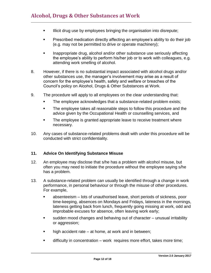- **Illicit drug use by employees bringing the organisation into disrepute;**
- **Prescribed medication directly affecting an employee's ability to do their job** (e.g. may not be permitted to drive or operate machinery);
- **Inappropriate drug, alcohol and/or other substance use seriously affecting** the employee's ability to perform his/her job or to work with colleagues, e.g. attending work smelling of alcohol.
- 8. However, if there is no substantial impact associated with alcohol drugs and/or other substances use, the manager's involvement may arise as a result of concern for the employee's health, safety and welfare or breaches of the Council's policy on Alcohol, Drugs & Other Substances at Work.
- 9. The procedure will apply to all employees on the clear understanding that:
	- The employee acknowledges that a substance-related problem exists;
	- The employee takes all reasonable steps to follow this procedure and the advice given by the Occupational Health or counselling services, and
	- The employee is granted appropriate leave to receive treatment where necessary.
- 10. Any cases of substance-related problems dealt with under this procedure will be conducted with strict confidentiality.

#### **11. Advice On Identifying Substance Misuse**

- 12. An employee may disclose that s/he has a problem with alcohol misuse, but often you may need to initiate the procedure without the employee saying s/he has a problem.
- 13. A substance-related problem can usually be identified through a change in work performance, in personal behaviour or through the misuse of other procedures. For example,
	- absenteeism lots of unauthorised leave, short periods of sickness, poor time-keeping, absences on Mondays and Fridays, lateness in the mornings, lateness getting back from lunch, frequently going missing at work, odd and improbable excuses for absence, often leaving work early;
	- sudden mood changes and behaving out of character unusual irritability or aggression;
	- $\blacksquare$  high accident rate at home, at work and in between;
	- difficulty in concentration work requires more effort, takes more time;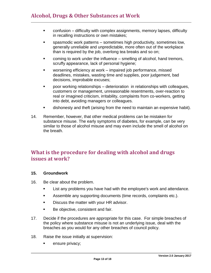- confusion difficulty with complex assignments, memory lapses, difficulty in recalling instructions or own mistakes;
- spasmodic work patterns sometimes high productivity, sometimes low, generally unreliable and unpredictable, more often out of the workplace than is required by the job, overlong tea breaks and so on;
- **EXEDENT** coming to work under the influence smelling of alcohol, hand tremors, scruffy appearance, lack of personal hygiene;
- worsening efficiency at work impaired job performance, missed deadlines, mistakes, wasting time and supplies, poor judgement, bad decisions, improbable excuses;
- poor working relationships deterioration in relationships with colleagues, customers or management, unreasonable resentments, over-reaction to real or imagined criticism, irritability, complaints from co-workers, getting into debt, avoiding managers or colleagues.
- dishonesty and theft (arising from the need to maintain an expensive habit).
- 14. Remember, however, that other medical problems can be mistaken for substance misuse. The early symptoms of diabetes, for example, can be very similar to those of alcohol misuse and may even include the smell of alcohol on the breath.

# **What is the procedure for dealing with alcohol and drugs issues at work?**

#### **15. Groundwork**

- 16. Be clear about the problem.
	- **EXECT:** List any problems you have had with the employee's work and attendance.
	- **Assemble any supporting documents (time records, complaints etc.).**
	- **Discuss the matter with your HR advisor.**
	- **Be objective, consistent and fair.**
- 17. Decide if the procedures are appropriate for this case. For simple breaches of the policy where substance misuse is not an underlying issue, deal with the breaches as you would for any other breaches of council policy.
- 18. Raise the issue initially at supervision:
	- **EXECUTE:** ensure privacy;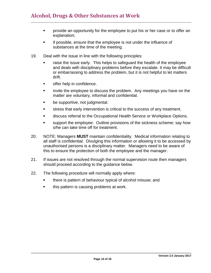- **•** provide an opportunity for the employee to put his or her case or to offer an explanation;
- **EXECT** if possible, ensure that the employee is not under the influence of substances at the time of the meeting.
- 19. Deal with the issue in line with the following principles:
	- raise the issue early. This helps to safeguard the health of the employee and deals with disciplinary problems before they escalate. It may be difficult or embarrassing to address the problem, but it is not helpful to let matters drift.
	- **•** offer help in confidence.
	- **EXED** invite the employee to discuss the problem. Any meetings you have on the matter are voluntary, informal and confidential.
	- **be supportive, not judgmental.**
	- stress that early intervention is critical to the success of any treatment.
	- **EXECT** discuss referral to the Occupational Health Service or Workplace Options.
	- support the employee. Outline provisions of the sickness scheme; say how s/he can take time off for treatment.
- 20. NOTE: Managers **MUST** maintain confidentiality. Medical information relating to all staff is confidential. Divulging this information or allowing it to be accessed by unauthorised persons is a disciplinary matter. Managers need to be aware of this to ensure the protection of both the employee and the manager.
- 21. If issues are not resolved through the normal supervision route then managers should proceed according to the guidance below.
- 22. The following procedure will normally apply where:
	- **there is pattern of behaviour typical of alcohol misuse; and**
	- **this pattern is causing problems at work.**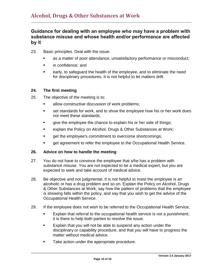#### Guidance for dealing with an employee who may have a problem with substance misuse and whose health and/or performance are affected by it

- 23. Basic principles. Deal with the issue:
	- as a matter of poor attendance, unsatisfactory performance or misconduct;
	- **in confidence; and**
	- **EXECT** early, to safeguard the health of the employee, and to eliminate the need for disciplinary procedures. It is not helpful to let matters drift.

#### **24. The first meeting**

- 25. The objective of the meeting is to:
	- **allow constructive discussion of work problems;**
	- **set standards for work, and to show the employee how his or her work does** not meet these standards;
	- qive the employee the chance to explain his or her side of things;
	- **EXPLA** explain the Policy on Alcohol, Drugs & Other Substances at Work;
	- **qet the employee's commitment to overcome shortcomings;**
	- get agreement to refer the employee to the Occupational Health Service.

#### **26. Advice on how to handle the meeting**

- 27. You do not have to convince the employee that s/he has a problem with substance misuse. You are not expected to be a medical expert, but you are expected to seek and take account of medical advice.
- 28. Be objective and not judgmental. It is not helpful to insist the employee is an alcoholic or has a drug problem and so on. Explain the Policy on Alcohol, Drugs & Other Substances at Work; say how the pattern of problems that the employee is showing falls within the policy, and say that you wish to get the advice of the Occupational Health Service.
- 29. If the employee does not wish to be referred to the Occupational Health Service;
	- Explain that referral to the occupational health service is not a punishment; it is there to help both parties to resolve the issue.
	- **Explain that you will not be able to suspend any action under the** disciplinary or capability procedure, and that you will have to progress the matter without medical advice.
	- **Take action under the appropriate procedure.**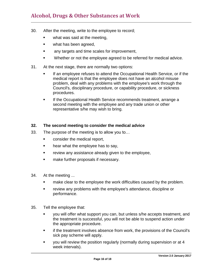- 30. After the meeting, write to the employee to record;
	- what was said at the meeting,
	- **what has been agreed,**
	- **EXEC** any targets and time scales for improvement,
	- **Whether or not the employee agreed to be referred for medical advice.**
- 31. At the next stage, there are normally two options:
	- If an employee refuses to attend the Occupational Health Service, or if the medical report is that the employee does not have an alcohol misuse problem, deal with any problems with the employee's work through the Council's, disciplinary procedure, or capability procedure, or sickness procedures.
	- **If the Occupational Health Service recommends treatment, arrange a** second meeting with the employee and any trade union or other representative s/he may wish to bring.

#### **32. The second meeting to consider the medical advice**

- 33. The purpose of the meeting is to allow you to…
	- **EXECONS** CONSIDER the medical report,
	- hear what the employee has to say,
	- **Fig.** review any assistance already given to the employee,
	- **nake further proposals if necessary.**
- 34. At the meeting ...
	- **EXED** make clear to the employee the work difficulties caused by the problem.
	- review any problems with the employee's attendance, discipline or performance.
- 35. Tell the employee that:
	- you will offer what support you can, but unless s/he accepts treatment, and the treatment is successful, you will not be able to suspend action under the appropriate procedure.
	- **Fig.** if the treatment involves absence from work, the provisions of the Council's sick pay scheme will apply.
	- you will review the position regularly (normally during supervision or at 4 week intervals).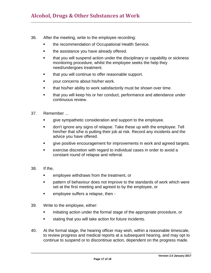- 36. After the meeting, write to the employee recording:
	- **the recommendation of Occupational Health Service.**
	- the assistance you have already offered.
	- that you will suspend action under the disciplinary or capability or sickness monitoring procedure, whilst the employee seeks the help they need/undergoes treatment.
	- **that you will continue to offer reasonable support.**
	- **The State of the State of the State State State State State State State State State State State State State State State State State State State State State State State State State State State State State State State State**
	- **that his/her ability to work satisfactorily must be shown over time.**
	- **that you will keep his or her conduct, performance and attendance under** continuous review.
- 37. Remember ...
	- give sympathetic consideration and support to the employee.
	- don't ignore any signs of relapse. Take these up with the employee. Tell him/her that s/he is putting their job at risk. Record any incidents and the advice you have offered.
	- give positive encouragement for improvements in work and agreed targets.
	- exercise discretion with regard to individual cases in order to avoid a constant round of relapse and referral.
- 38. If the,
	- **EXEC** employee withdraws from the treatment, or
	- **EXECT** pattern of behaviour does not improve to the standards of work which were set at the first meeting and agreed to by the employee, or
	- **EXEC** employee suffers a relapse, then -
- 39. Write to the employee, either:
	- **EXED** initiating action under the formal stage of the appropriate procedure, or
	- **stating that you will take action for future incidents.**
- 40. At the formal stage, the hearing officer may wish, within a reasonable timescale, to review progress and medical reports at a subsequent hearing, and may opt to continue to suspend or to discontinue action, dependent on the progress made.